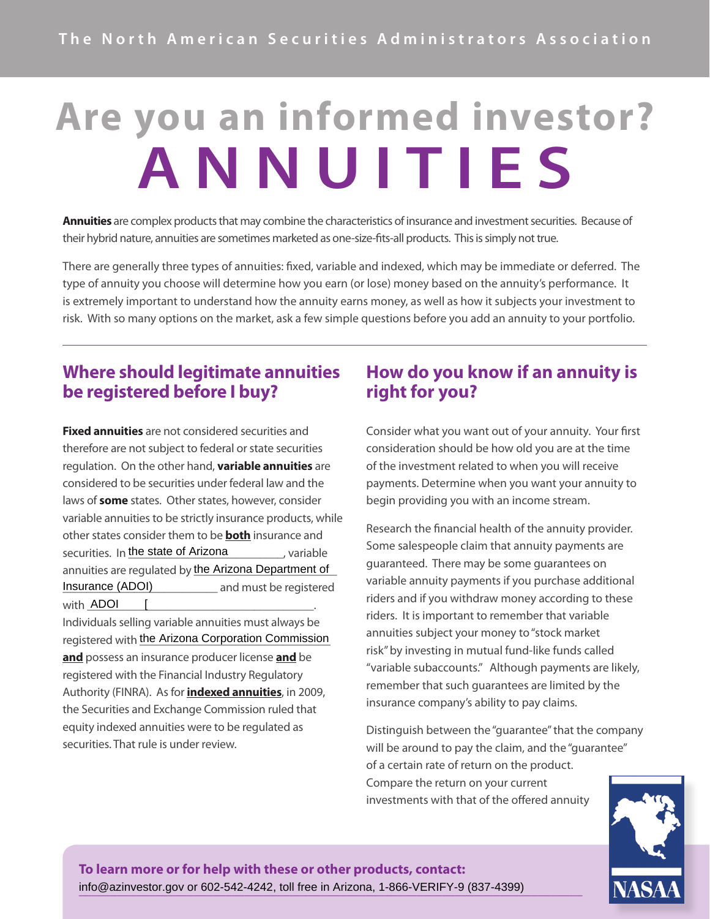# **Are you an informed investor? ANNUITIES**

**Annuities** are complex products that may combine the characteristics of insurance and investment securities. Because of their hybrid nature, annuities are sometimes marketed as one-size-fits-all products. This is simply not true.

There are generally three types of annuities: fixed, variable and indexed, which may be immediate or deferred. The type of annuity you choose will determine how you earn (or lose) money based on the annuity's performance. It is extremely important to understand how the annuity earns money, as well as how it subjects your investment to risk. With so many options on the market, ask a few simple questions before you add an annuity to your portfolio.

# **Where should legitimate annuities be registered before I buy?**

**Fixed annuities** are not considered securities and therefore are not subject to federal or state securities regulation. On the other hand, **variable annuities** are considered to be securities under federal law and the laws of **some** states. Other states, however, consider variable annuities to be strictly insurance products, while other states consider them to be **both** insurance and securities. In the state of Arizona state the state of the state state of the state of the state of the state annuities are regulated by \_\_\_\_\_\_\_\_\_\_\_\_\_\_\_\_\_\_\_\_\_\_\_\_ the Arizona Department of Insurance (ADOI) ADOI [ Insurance (ADOI) and must be registered with ADOI [

Individuals selling variable annuities must always be registered with the Arizona Corporation Commission **and** possess an insurance producer license **and** be registered with the Financial Industry Regulatory Authority (FINRA). As for **indexed annuities**, in 2009, the Securities and Exchange Commission ruled that equity indexed annuities were to be regulated as securities. That rule is under review.

# **How do you know if an annuity is right for you?**

Consider what you want out of your annuity. Your first consideration should be how old you are at the time of the investment related to when you will receive payments. Determine when you want your annuity to begin providing you with an income stream.

Research the financial health of the annuity provider. Some salespeople claim that annuity payments are guaranteed. There may be some guarantees on variable annuity payments if you purchase additional riders and if you withdraw money according to these riders. It is important to remember that variable annuities subject your money to "stock market risk" by investing in mutual fund-like funds called "variable subaccounts." Although payments are likely, remember that such guarantees are limited by the insurance company's ability to pay claims.

Distinguish between the "guarantee" that the company will be around to pay the claim, and the "quarantee" of a certain rate of return on the product. Compare the return on your current investments with that of the offered annuity



**To learn more or for help with these or other products, contact: \_\_\_\_\_\_\_\_\_\_\_\_\_\_\_\_\_\_\_\_\_\_\_\_\_\_\_\_\_\_\_\_\_\_\_\_\_\_\_\_\_\_\_\_\_\_\_\_\_\_\_\_\_\_\_\_\_\_\_\_\_\_\_\_\_\_\_\_\_\_\_\_\_\_\_\_\_\_\_** info@azinvestor.gov or 602-542-4242, toll free in Arizona, 1-866-VERIFY-9 (837-4399)